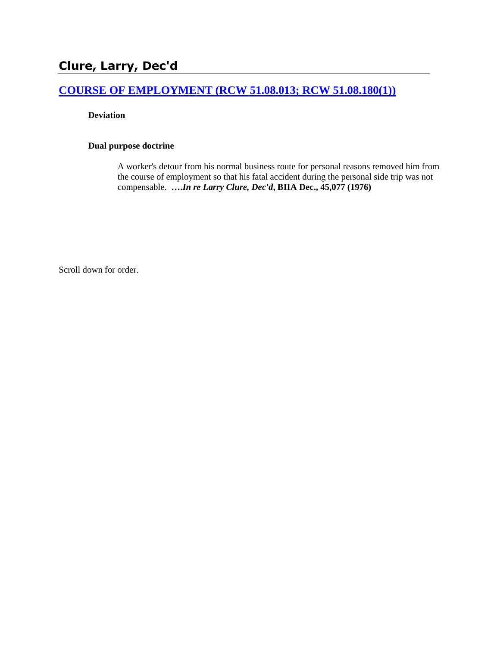# **Clure, Larry, Dec'd**

## **[COURSE OF EMPLOYMENT \(RCW 51.08.013; RCW 51.08.180\(1\)\)](http://www.biia.wa.gov/SDSubjectIndex.html#COURSE_OF_EMPLOYMENT)**

**Deviation**

#### **Dual purpose doctrine**

A worker's detour from his normal business route for personal reasons removed him from the course of employment so that his fatal accident during the personal side trip was not compensable. **….***In re Larry Clure, Dec'd***, BIIA Dec., 45,077 (1976)** 

Scroll down for order.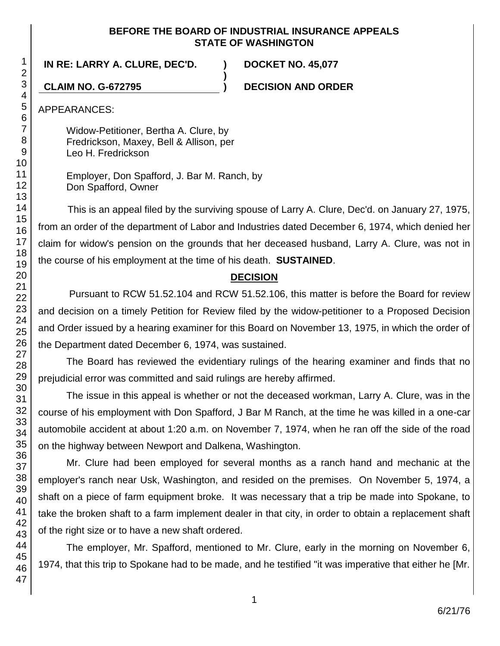#### **BEFORE THE BOARD OF INDUSTRIAL INSURANCE APPEALS STATE OF WASHINGTON**

**)**

## **IN RE: LARRY A. CLURE, DEC'D. ) DOCKET NO. 45,077**

**CLAIM NO. G-672795 ) DECISION AND ORDER**

APPEARANCES:

Widow-Petitioner, Bertha A. Clure, by Fredrickson, Maxey, Bell & Allison, per Leo H. Fredrickson

Employer, Don Spafford, J. Bar M. Ranch, by Don Spafford, Owner

This is an appeal filed by the surviving spouse of Larry A. Clure, Dec'd. on January 27, 1975, from an order of the department of Labor and Industries dated December 6, 1974, which denied her claim for widow's pension on the grounds that her deceased husband, Larry A. Clure, was not in the course of his employment at the time of his death. **SUSTAINED**.

## **DECISION**

Pursuant to RCW 51.52.104 and RCW 51.52.106, this matter is before the Board for review and decision on a timely Petition for Review filed by the widow-petitioner to a Proposed Decision and Order issued by a hearing examiner for this Board on November 13, 1975, in which the order of the Department dated December 6, 1974, was sustained.

The Board has reviewed the evidentiary rulings of the hearing examiner and finds that no prejudicial error was committed and said rulings are hereby affirmed.

The issue in this appeal is whether or not the deceased workman, Larry A. Clure, was in the course of his employment with Don Spafford, J Bar M Ranch, at the time he was killed in a one-car automobile accident at about 1:20 a.m. on November 7, 1974, when he ran off the side of the road on the highway between Newport and Dalkena, Washington.

Mr. Clure had been employed for several months as a ranch hand and mechanic at the employer's ranch near Usk, Washington, and resided on the premises. On November 5, 1974, a shaft on a piece of farm equipment broke. It was necessary that a trip be made into Spokane, to take the broken shaft to a farm implement dealer in that city, in order to obtain a replacement shaft of the right size or to have a new shaft ordered.

The employer, Mr. Spafford, mentioned to Mr. Clure, early in the morning on November 6, 1974, that this trip to Spokane had to be made, and he testified "it was imperative that either he [Mr.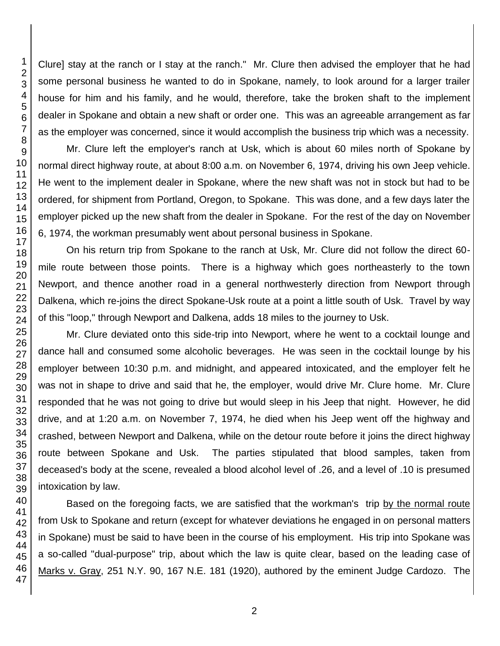Clure] stay at the ranch or I stay at the ranch." Mr. Clure then advised the employer that he had some personal business he wanted to do in Spokane, namely, to look around for a larger trailer house for him and his family, and he would, therefore, take the broken shaft to the implement dealer in Spokane and obtain a new shaft or order one. This was an agreeable arrangement as far as the employer was concerned, since it would accomplish the business trip which was a necessity.

Mr. Clure left the employer's ranch at Usk, which is about 60 miles north of Spokane by normal direct highway route, at about 8:00 a.m. on November 6, 1974, driving his own Jeep vehicle. He went to the implement dealer in Spokane, where the new shaft was not in stock but had to be ordered, for shipment from Portland, Oregon, to Spokane. This was done, and a few days later the employer picked up the new shaft from the dealer in Spokane. For the rest of the day on November 6, 1974, the workman presumably went about personal business in Spokane.

On his return trip from Spokane to the ranch at Usk, Mr. Clure did not follow the direct 60 mile route between those points. There is a highway which goes northeasterly to the town Newport, and thence another road in a general northwesterly direction from Newport through Dalkena, which re-joins the direct Spokane-Usk route at a point a little south of Usk. Travel by way of this "loop," through Newport and Dalkena, adds 18 miles to the journey to Usk.

Mr. Clure deviated onto this side-trip into Newport, where he went to a cocktail lounge and dance hall and consumed some alcoholic beverages. He was seen in the cocktail lounge by his employer between 10:30 p.m. and midnight, and appeared intoxicated, and the employer felt he was not in shape to drive and said that he, the employer, would drive Mr. Clure home. Mr. Clure responded that he was not going to drive but would sleep in his Jeep that night. However, he did drive, and at 1:20 a.m. on November 7, 1974, he died when his Jeep went off the highway and crashed, between Newport and Dalkena, while on the detour route before it joins the direct highway route between Spokane and Usk. The parties stipulated that blood samples, taken from deceased's body at the scene, revealed a blood alcohol level of .26, and a level of .10 is presumed intoxication by law.

Based on the foregoing facts, we are satisfied that the workman's trip by the normal route from Usk to Spokane and return (except for whatever deviations he engaged in on personal matters in Spokane) must be said to have been in the course of his employment. His trip into Spokane was a so-called "dual-purpose" trip, about which the law is quite clear, based on the leading case of Marks v. Gray, 251 N.Y. 90, 167 N.E. 181 (1920), authored by the eminent Judge Cardozo. The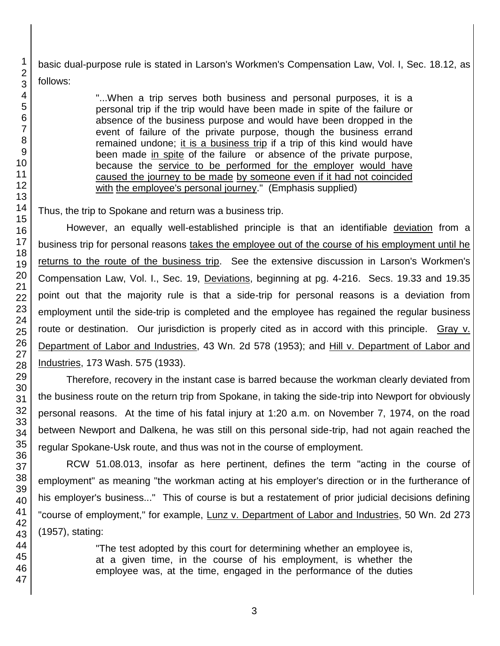basic dual-purpose rule is stated in Larson's Workmen's Compensation Law, Vol. I, Sec. 18.12, as follows:

> "...When a trip serves both business and personal purposes, it is a personal trip if the trip would have been made in spite of the failure or absence of the business purpose and would have been dropped in the event of failure of the private purpose, though the business errand remained undone; it is a business trip if a trip of this kind would have been made in spite of the failure or absence of the private purpose, because the service to be performed for the employer would have caused the journey to be made by someone even if it had not coincided with the employee's personal journey." (Emphasis supplied)

Thus, the trip to Spokane and return was a business trip.

However, an equally well-established principle is that an identifiable deviation from a business trip for personal reasons takes the employee out of the course of his employment until he returns to the route of the business trip. See the extensive discussion in Larson's Workmen's Compensation Law, Vol. I., Sec. 19, Deviations, beginning at pg. 4-216. Secs. 19.33 and 19.35 point out that the majority rule is that a side-trip for personal reasons is a deviation from employment until the side-trip is completed and the employee has regained the regular business route or destination. Our jurisdiction is properly cited as in accord with this principle. Gray v. Department of Labor and Industries, 43 Wn. 2d 578 (1953); and Hill v. Department of Labor and Industries, 173 Wash. 575 (1933).

Therefore, recovery in the instant case is barred because the workman clearly deviated from the business route on the return trip from Spokane, in taking the side-trip into Newport for obviously personal reasons. At the time of his fatal injury at 1:20 a.m. on November 7, 1974, on the road between Newport and Dalkena, he was still on this personal side-trip, had not again reached the regular Spokane-Usk route, and thus was not in the course of employment.

RCW 51.08.013, insofar as here pertinent, defines the term "acting in the course of employment" as meaning "the workman acting at his employer's direction or in the furtherance of his employer's business..." This of course is but a restatement of prior judicial decisions defining "course of employment," for example, Lunz v. Department of Labor and Industries, 50 Wn. 2d 273 (1957), stating:

> "The test adopted by this court for determining whether an employee is, at a given time, in the course of his employment, is whether the employee was, at the time, engaged in the performance of the duties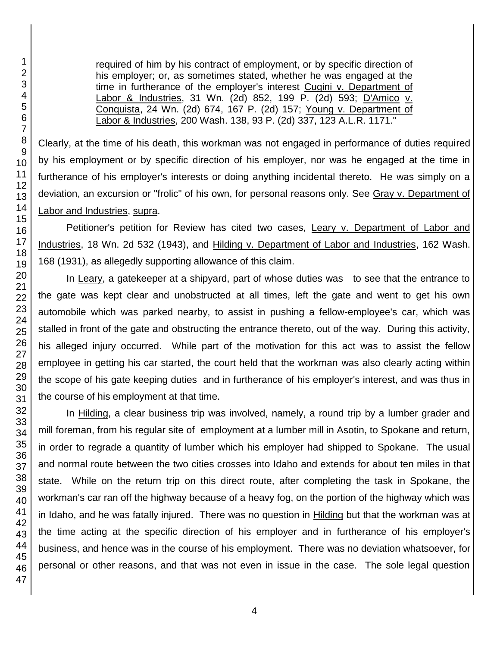required of him by his contract of employment, or by specific direction of his employer; or, as sometimes stated, whether he was engaged at the time in furtherance of the employer's interest Cugini v. Department of Labor & Industries, 31 Wn. (2d) 852, 199 P. (2d) 593; D'Amico v. Conquista, 24 Wn. (2d) 674, 167 P. (2d) 157; Young v. Department of Labor & Industries, 200 Wash. 138, 93 P. (2d) 337, 123 A.L.R. 1171."

Clearly, at the time of his death, this workman was not engaged in performance of duties required by his employment or by specific direction of his employer, nor was he engaged at the time in furtherance of his employer's interests or doing anything incidental thereto. He was simply on a deviation, an excursion or "frolic" of his own, for personal reasons only. See Gray v. Department of Labor and Industries, supra.

Petitioner's petition for Review has cited two cases, Leary v. Department of Labor and Industries, 18 Wn. 2d 532 (1943), and Hilding v. Department of Labor and Industries, 162 Wash. (1931), as allegedly supporting allowance of this claim.

In Leary, a gatekeeper at a shipyard, part of whose duties was to see that the entrance to the gate was kept clear and unobstructed at all times, left the gate and went to get his own automobile which was parked nearby, to assist in pushing a fellow-employee's car, which was stalled in front of the gate and obstructing the entrance thereto, out of the way. During this activity, his alleged injury occurred. While part of the motivation for this act was to assist the fellow employee in getting his car started, the court held that the workman was also clearly acting within the scope of his gate keeping duties and in furtherance of his employer's interest, and was thus in the course of his employment at that time.

In Hilding, a clear business trip was involved, namely, a round trip by a lumber grader and mill foreman, from his regular site of employment at a lumber mill in Asotin, to Spokane and return, in order to regrade a quantity of lumber which his employer had shipped to Spokane. The usual and normal route between the two cities crosses into Idaho and extends for about ten miles in that state. While on the return trip on this direct route, after completing the task in Spokane, the workman's car ran off the highway because of a heavy fog, on the portion of the highway which was in Idaho, and he was fatally injured. There was no question in Hilding but that the workman was at the time acting at the specific direction of his employer and in furtherance of his employer's business, and hence was in the course of his employment. There was no deviation whatsoever, for personal or other reasons, and that was not even in issue in the case. The sole legal question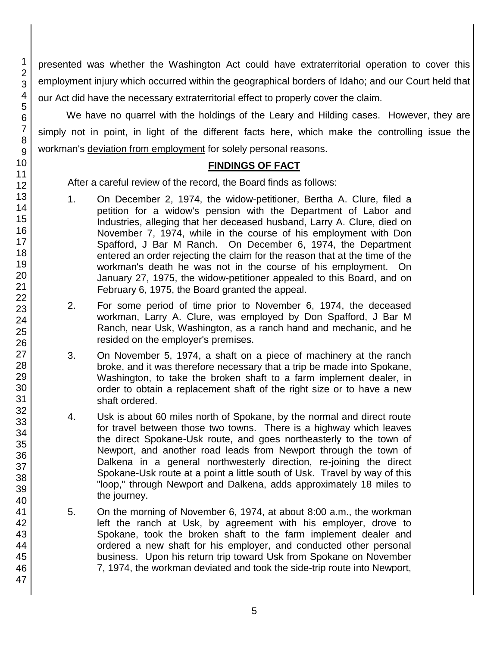presented was whether the Washington Act could have extraterritorial operation to cover this employment injury which occurred within the geographical borders of Idaho; and our Court held that our Act did have the necessary extraterritorial effect to properly cover the claim.

We have no quarrel with the holdings of the Leary and Hilding cases. However, they are simply not in point, in light of the different facts here, which make the controlling issue the workman's deviation from employment for solely personal reasons.

## **FINDINGS OF FACT**

After a careful review of the record, the Board finds as follows:

- 1. On December 2, 1974, the widow-petitioner, Bertha A. Clure, filed a petition for a widow's pension with the Department of Labor and Industries, alleging that her deceased husband, Larry A. Clure, died on November 7, 1974, while in the course of his employment with Don Spafford, J Bar M Ranch. On December 6, 1974, the Department entered an order rejecting the claim for the reason that at the time of the workman's death he was not in the course of his employment. On January 27, 1975, the widow-petitioner appealed to this Board, and on February 6, 1975, the Board granted the appeal.
- 2. For some period of time prior to November 6, 1974, the deceased workman, Larry A. Clure, was employed by Don Spafford, J Bar M Ranch, near Usk, Washington, as a ranch hand and mechanic, and he resided on the employer's premises.
- 3. On November 5, 1974, a shaft on a piece of machinery at the ranch broke, and it was therefore necessary that a trip be made into Spokane, Washington, to take the broken shaft to a farm implement dealer, in order to obtain a replacement shaft of the right size or to have a new shaft ordered.
- 4. Usk is about 60 miles north of Spokane, by the normal and direct route for travel between those two towns. There is a highway which leaves the direct Spokane-Usk route, and goes northeasterly to the town of Newport, and another road leads from Newport through the town of Dalkena in a general northwesterly direction, re-joining the direct Spokane-Usk route at a point a little south of Usk. Travel by way of this "loop," through Newport and Dalkena, adds approximately 18 miles to the journey.
- 5. On the morning of November 6, 1974, at about 8:00 a.m., the workman left the ranch at Usk, by agreement with his employer, drove to Spokane, took the broken shaft to the farm implement dealer and ordered a new shaft for his employer, and conducted other personal business. Upon his return trip toward Usk from Spokane on November 7, 1974, the workman deviated and took the side-trip route into Newport,